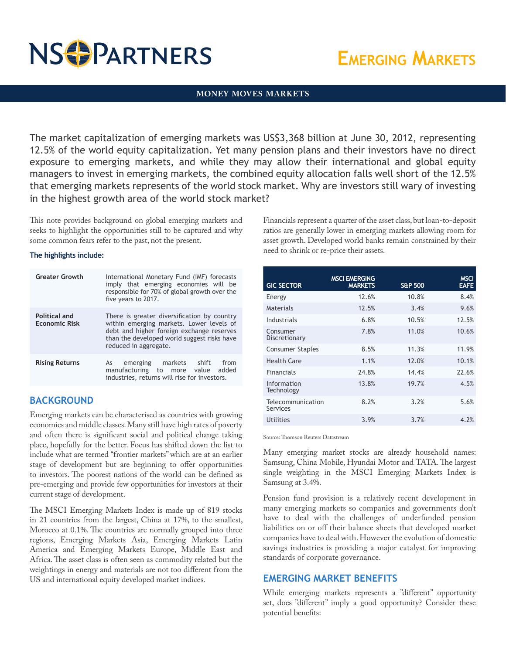# **NS PARTNERS**

# **Emerging Markets**

#### **MONEY MOVES MARKETS**

The market capitalization of emerging markets was US\$3,368 billion at June 30, 2012, representing 12.5% of the world equity capitalization. Yet many pension plans and their investors have no direct exposure to emerging markets, and while they may allow their international and global equity managers to invest in emerging markets, the combined equity allocation falls well short of the 12.5% that emerging markets represents of the world stock market. Why are investors still wary of investing in the highest growth area of the world stock market?

This note provides background on global emerging markets and seeks to highlight the opportunities still to be captured and why some common fears refer to the past, not the present.

#### **The highlights include:**

| <b>Greater Growth</b>                 | International Monetary Fund (IMF) forecasts<br>imply that emerging economies will be<br>responsible for 70% of global growth over the<br>five years to 2017.                                                 |
|---------------------------------------|--------------------------------------------------------------------------------------------------------------------------------------------------------------------------------------------------------------|
| Political and<br><b>Economic Risk</b> | There is greater diversification by country<br>within emerging markets. Lower levels of<br>debt and higher foreign exchange reserves<br>than the developed world suggest risks have<br>reduced in aggregate. |
| <b>Rising Returns</b>                 | emerging markets shift<br>from<br>As<br>manufacturing to more<br>added<br>value<br>industries, returns will rise for investors.                                                                              |

## **BACKGROUND**

Emerging markets can be characterised as countries with growing economies and middle classes. Many still have high rates of poverty and often there is significant social and political change taking place, hopefully for the better. Focus has shifted down the list to include what are termed "frontier markets" which are at an earlier stage of development but are beginning to offer opportunities to investors. The poorest nations of the world can be defined as pre-emerging and provide few opportunities for investors at their current stage of development.

The MSCI Emerging Markets Index is made up of 819 stocks in 21 countries from the largest, China at 17%, to the smallest, Morocco at 0.1%. The countries are normally grouped into three regions, Emerging Markets Asia, Emerging Markets Latin America and Emerging Markets Europe, Middle East and Africa. The asset class is often seen as commodity related but the weightings in energy and materials are not too different from the US and international equity developed market indices.

Financials represent a quarter of the asset class, but loan-to-deposit ratios are generally lower in emerging markets allowing room for asset growth. Developed world banks remain constrained by their need to shrink or re-price their assets.

| <b>GIC SECTOR</b>             | <b>MSCI EMERGING</b><br><b>MARKETS</b> | <b>S&amp;P 500</b> | <b>MSCI</b><br><b>EAFE</b> |
|-------------------------------|----------------------------------------|--------------------|----------------------------|
| Energy                        | 12.6%                                  | 10.8%              | 8.4%                       |
| Materials                     | 12.5%                                  | 3.4%               | 9.6%                       |
| Industrials                   | 6.8%                                   | 10.5%              | 12.5%                      |
| Consumer<br>Discretionary     | 7.8%                                   | 11.0%              | 10.6%                      |
| <b>Consumer Staples</b>       | 8.5%                                   | 11.3%              | 11.9%                      |
| <b>Health Care</b>            | 1.1%                                   | 12.0%              | 10.1%                      |
| <b>Financials</b>             | 24.8%                                  | 14.4%              | 22.6%                      |
| Information<br>Technology     | 13.8%                                  | 19.7%              | 4.5%                       |
| Telecommunication<br>Services | 8.2%                                   | 3.2%               | 5.6%                       |
| Utilities                     | 3.9%                                   | 3.7%               | 4.2%                       |

Source: Thomson Reuters Datastream

Many emerging market stocks are already household names: Samsung, China Mobile, Hyundai Motor and TATA. The largest single weighting in the MSCI Emerging Markets Index is Samsung at 3.4%.

Pension fund provision is a relatively recent development in many emerging markets so companies and governments don't have to deal with the challenges of underfunded pension liabilities on or off their balance sheets that developed market companies have to deal with. However the evolution of domestic savings industries is providing a major catalyst for improving standards of corporate governance.

### **EMERGING MARKET BENEFITS**

While emerging markets represents a "different" opportunity set, does "different" imply a good opportunity? Consider these potential benefits: